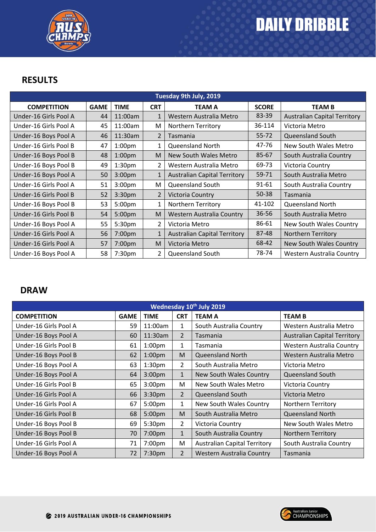

## **RESULTS**

| Tuesday 9th July, 2019 |             |                    |                |                                     |              |                                     |  |  |
|------------------------|-------------|--------------------|----------------|-------------------------------------|--------------|-------------------------------------|--|--|
| <b>COMPETITION</b>     | <b>GAME</b> | <b>TIME</b>        | <b>CRT</b>     | <b>TEAM A</b>                       | <b>SCORE</b> | <b>TEAM B</b>                       |  |  |
| Under-16 Girls Pool A  | 44          | 11:00am            | $\mathbf{1}$   | Western Australia Metro             | 83-39        | <b>Australian Capital Territory</b> |  |  |
| Under-16 Girls Pool A  | 45          | 11:00am            | M              | <b>Northern Territory</b>           | 36-114       | Victoria Metro                      |  |  |
| Under-16 Boys Pool A   | 46          | 11:30am            | $\overline{2}$ | Tasmania                            | 55-72        | Queensland South                    |  |  |
| Under-16 Girls Pool B  | 47          | 1:00 <sub>pm</sub> | 1              | <b>Queensland North</b>             | 47-76        | New South Wales Metro               |  |  |
| Under-16 Boys Pool B   | 48          | 1:00 <sub>pm</sub> | M              | New South Wales Metro               | 85-67        | South Australia Country             |  |  |
| Under-16 Boys Pool B   | 49          | 1:30 <sub>pm</sub> | 2              | Western Australia Metro             | 69-73        | Victoria Country                    |  |  |
| Under-16 Boys Pool A   | 50          | 3:00 <sub>pm</sub> | $\mathbf{1}$   | <b>Australian Capital Territory</b> | 59-71        | South Australia Metro               |  |  |
| Under-16 Girls Pool A  | 51          | 3:00 <sub>pm</sub> | M              | Queensland South                    | 91-61        | South Australia Country             |  |  |
| Under-16 Girls Pool B  | 52          | 3:30 <sub>pm</sub> | 2              | Victoria Country                    | $50 - 38$    | Tasmania                            |  |  |
| Under-16 Boys Pool B   | 53          | 5:00pm             | 1              | Northern Territory                  | 41-102       | <b>Queensland North</b>             |  |  |
| Under-16 Girls Pool B  | 54          | 5:00pm             | M              | <b>Western Australia Country</b>    | 36-56        | South Australia Metro               |  |  |
| Under-16 Boys Pool A   | 55          | 5:30pm             | $\overline{2}$ | Victoria Metro                      | 86-61        | New South Wales Country             |  |  |
| Under-16 Girls Pool A  | 56          | 7:00pm             | $\mathbf{1}$   | <b>Australian Capital Territory</b> | 87-48        | <b>Northern Territory</b>           |  |  |
| Under-16 Girls Pool A  | 57          | 7:00pm             | M              | Victoria Metro                      | 68-42        | New South Wales Country             |  |  |
| Under-16 Boys Pool A   | 58          | 7:30pm             | $\overline{2}$ | <b>Queensland South</b>             | 78-74        | Western Australia Country           |  |  |

## **DRAW**

| Wednesday 10th July 2019 |             |                    |                |                                     |                                     |  |  |  |
|--------------------------|-------------|--------------------|----------------|-------------------------------------|-------------------------------------|--|--|--|
| <b>COMPETITION</b>       | <b>GAME</b> | <b>TIME</b>        | <b>CRT</b>     | <b>TEAM A</b>                       | <b>TEAM B</b>                       |  |  |  |
| Under-16 Girls Pool A    | 59          | 11:00am            | 1              | South Australia Country             | Western Australia Metro             |  |  |  |
| Under-16 Boys Pool A     | 60          | 11:30am            | $\overline{2}$ | Tasmania                            | <b>Australian Capital Territory</b> |  |  |  |
| Under-16 Girls Pool B    | 61          | 1:00 <sub>pm</sub> | 1              | Tasmania                            | Western Australia Country           |  |  |  |
| Under-16 Boys Pool B     | 62          | 1:00 <sub>pm</sub> | M              | <b>Queensland North</b>             | Western Australia Metro             |  |  |  |
| Under-16 Boys Pool A     | 63          | 1:30 <sub>pm</sub> | $\overline{2}$ | South Australia Metro               | Victoria Metro                      |  |  |  |
| Under-16 Boys Pool A     | 64          | 3:00 <sub>pm</sub> | $\mathbf 1$    | New South Wales Country             | Queensland South                    |  |  |  |
| Under-16 Girls Pool B    | 65          | 3:00 <sub>pm</sub> | M              | New South Wales Metro               | Victoria Country                    |  |  |  |
| Under-16 Girls Pool A    | 66          | 3:30pm             | $\overline{2}$ | <b>Queensland South</b>             | Victoria Metro                      |  |  |  |
| Under-16 Girls Pool A    | 67          | 5:00pm             | 1              | New South Wales Country             | Northern Territory                  |  |  |  |
| Under-16 Girls Pool B    | 68          | 5:00pm             | M              | South Australia Metro               | <b>Queensland North</b>             |  |  |  |
| Under-16 Boys Pool B     | 69          | 5:30pm             | $\overline{2}$ | Victoria Country                    | New South Wales Metro               |  |  |  |
| Under-16 Boys Pool B     | 70          | 7:00pm             | 1              | South Australia Country             | <b>Northern Territory</b>           |  |  |  |
| Under-16 Girls Pool A    | 71          | 7:00pm             | M              | <b>Australian Capital Territory</b> | South Australia Country             |  |  |  |
| Under-16 Boys Pool A     | 72          | 7:30 <sub>pm</sub> | $\overline{2}$ | Western Australia Country           | Tasmania                            |  |  |  |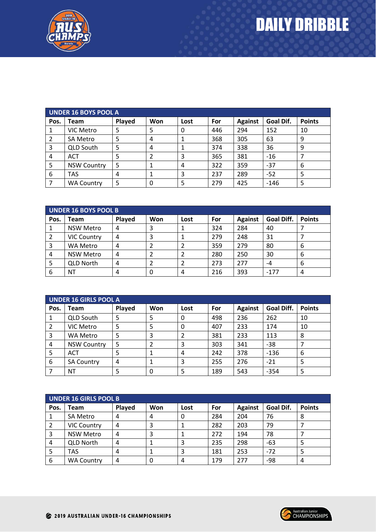

| <b>UNDER 16 BOYS POOL A</b> |                    |        |     |      |     |                |           |               |
|-----------------------------|--------------------|--------|-----|------|-----|----------------|-----------|---------------|
| Pos.                        | Team               | Played | Won | Lost | For | <b>Against</b> | Goal Dif. | <b>Points</b> |
|                             | VIC Metro          | 5      |     | 0    | 446 | 294            | 152       | 10            |
|                             | <b>SA Metro</b>    | 5      | 4   |      | 368 | 305            | 63        | 9             |
| 3                           | <b>QLD South</b>   | 5      | 4   |      | 374 | 338            | 36        | 9             |
| 4                           | <b>ACT</b>         | 5      |     | 3    | 365 | 381            | $-16$     |               |
| 5                           | <b>NSW Country</b> | 5      |     | 4    | 322 | 359            | $-37$     | 6             |
| 6                           | TAS                | 4      |     | 3    | 237 | 289            | $-52$     | 5             |
|                             | <b>WA Country</b>  | 5      | 0   | 5    | 279 | 425            | $-146$    | 5             |

| UNDER 16 BOYS POOL B |                    |        |     |      |     |                |            |               |
|----------------------|--------------------|--------|-----|------|-----|----------------|------------|---------------|
| Pos.                 | <b>Team</b>        | Played | Won | Lost | For | <b>Against</b> | Goal Diff. | <b>Points</b> |
|                      | <b>NSW Metro</b>   | 4      | э   |      | 324 | 284            | 40         |               |
|                      | <b>VIC Country</b> | 4      | 3   |      | 279 | 248            | 31         |               |
| 3                    | WA Metro           | 4      |     |      | 359 | 279            | 80         | 6             |
| 4                    | <b>NSW Metro</b>   | 4      |     |      | 280 | 250            | 30         | 6             |
| 5                    | <b>QLD North</b>   | 4      |     |      | 273 | 277            | -4         | 6             |
| 6                    | ΝT                 |        | 0   | 4    | 216 | 393            | $-177$     | 4             |

| UNDER 16 GIRLS POOL A |                    |        |     |      |     |                |            |               |
|-----------------------|--------------------|--------|-----|------|-----|----------------|------------|---------------|
| Pos.                  | Team               | Played | Won | Lost | For | <b>Against</b> | Goal Diff. | <b>Points</b> |
|                       | <b>QLD South</b>   |        |     | 0    | 498 | 236            | 262        | 10            |
|                       | VIC Metro          | 5      |     | 0    | 407 | 233            | 174        | 10            |
| 3                     | WA Metro           | 5      | 3   |      | 381 | 233            | 113        | 8             |
| 4                     | <b>NSW Country</b> | 5      |     | 3    | 303 | 341            | $-38$      |               |
| 5                     | <b>ACT</b>         |        |     | 4    | 242 | 378            | $-136$     | 6             |
| 6                     | <b>SA Country</b>  | 4      |     | 3    | 255 | 276            | $-21$      | 5             |
|                       | ΝT                 |        | 0   | 5    | 189 | 543            | $-354$     | 5             |

| <b>UNDER 16 GIRLS POOL B</b> |                    |        |     |      |     |                |           |               |
|------------------------------|--------------------|--------|-----|------|-----|----------------|-----------|---------------|
| Pos.                         | <b>Team</b>        | Played | Won | Lost | For | <b>Against</b> | Goal Dif. | <b>Points</b> |
|                              | SA Metro           |        | 4   |      | 284 | 204            | 76        | 8             |
| 2                            | <b>VIC Country</b> | 4      |     |      | 282 | 203            | 79        |               |
| 3                            | <b>NSW Metro</b>   | 4      |     |      | 272 | 194            | 78        |               |
| 4                            | <b>QLD North</b>   | 4      |     |      | 235 | 298            | -63       |               |
| 5                            | <b>TAS</b>         | 4      |     |      | 181 | 253            | $-72$     |               |
| 6                            | <b>WA Country</b>  | Δ      |     |      | 179 | 277            | -98       | 4             |